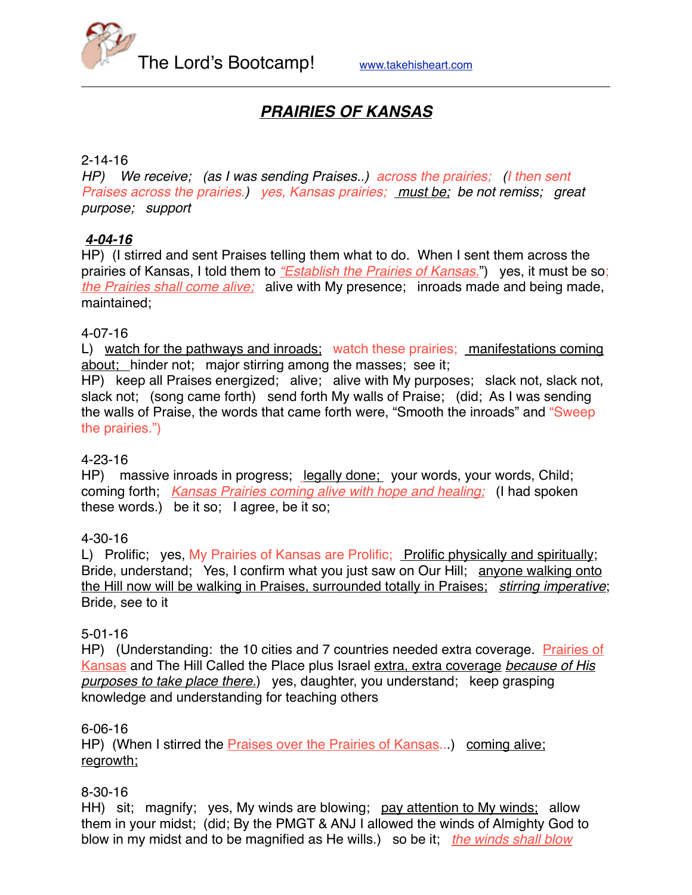

# *PRAIRIES OF KANSAS*

#### 2-14-16

*HP) We receive; (as I was sending Praises..) across the prairies; (I then sent Praises across the prairies.) yes, Kansas prairies; must be; be not remiss; great purpose; support*

# *4-04-16*

HP) (I stirred and sent Praises telling them what to do. When I sent them across the prairies of Kansas, I told them to *"Establish the Prairies of Kansas.*") yes, it must be so; *the Prairies shall come alive;* alive with My presence; inroads made and being made, maintained;

#### 4-07-16

L) watch for the pathways and inroads; watch these prairies; manifestations coming about; hinder not; major stirring among the masses; see it;

HP) keep all Praises energized; alive; alive with My purposes; slack not, slack not, slack not; (song came forth) send forth My walls of Praise; (did; As I was sending the walls of Praise, the words that came forth were, "Smooth the inroads" and "Sweep the prairies.")

#### 4-23-16

HP) massive inroads in progress; legally done; your words, your words, Child; coming forth; *Kansas Prairies coming alive with hope and healing;* (I had spoken these words.) be it so; I agree, be it so;

## 4-30-16

L) Prolific; yes, My Prairies of Kansas are Prolific; Prolific physically and spiritually; Bride, understand; Yes, I confirm what you just saw on Our Hill; anyone walking onto the Hill now will be walking in Praises, surrounded totally in Praises; *stirring imperative*; Bride, see to it

## 5-01-16

HP) (Understanding: the 10 cities and 7 countries needed extra coverage. Prairies of Kansas and The Hill Called the Place plus Israel extra, extra coverage *because of His purposes to take place there.*) yes, daughter, you understand; keep grasping knowledge and understanding for teaching others

#### 6-06-16

HP) (When I stirred the Praises over the Prairies of Kansas...) coming alive; regrowth;

## 8-30-16

HH) sit; magnify; yes, My winds are blowing; pay attention to My winds; allow them in your midst; (did; By the PMGT & ANJ I allowed the winds of Almighty God to blow in my midst and to be magnified as He wills.) so be it; *the winds shall blow*